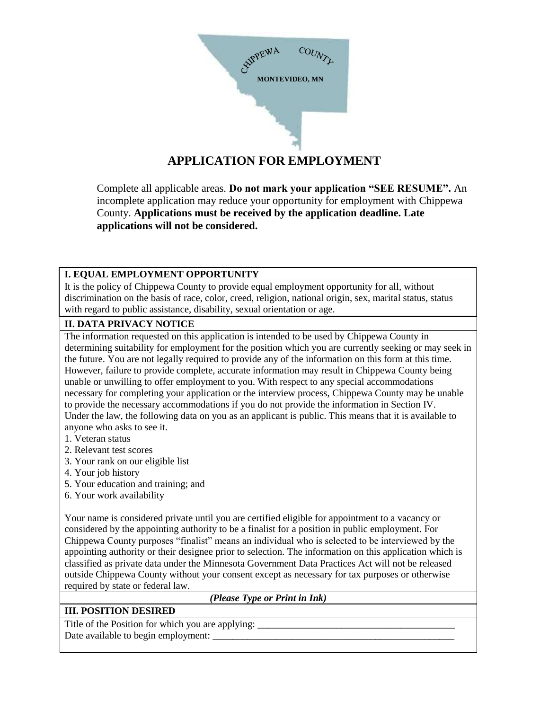

# **APPLICATION FOR EMPLOYMENT**

Complete all applicable areas. **Do not mark your application "SEE RESUME".** An incomplete application may reduce your opportunity for employment with Chippewa County. **Applications must be received by the application deadline. Late applications will not be considered.**

#### **I. EQUAL EMPLOYMENT OPPORTUNITY**

It is the policy of Chippewa County to provide equal employment opportunity for all, without discrimination on the basis of race, color, creed, religion, national origin, sex, marital status, status with regard to public assistance, disability, sexual orientation or age.

#### **II. DATA PRIVACY NOTICE**

The information requested on this application is intended to be used by Chippewa County in determining suitability for employment for the position which you are currently seeking or may seek in the future. You are not legally required to provide any of the information on this form at this time. However, failure to provide complete, accurate information may result in Chippewa County being unable or unwilling to offer employment to you. With respect to any special accommodations necessary for completing your application or the interview process, Chippewa County may be unable to provide the necessary accommodations if you do not provide the information in Section IV. Under the law, the following data on you as an applicant is public. This means that it is available to anyone who asks to see it.

- 1. Veteran status
- 2. Relevant test scores
- 3. Your rank on our eligible list
- 4. Your job history
- 5. Your education and training; and
- 6. Your work availability

Your name is considered private until you are certified eligible for appointment to a vacancy or considered by the appointing authority to be a finalist for a position in public employment. For Chippewa County purposes "finalist" means an individual who is selected to be interviewed by the appointing authority or their designee prior to selection. The information on this application which is classified as private data under the Minnesota Government Data Practices Act will not be released outside Chippewa County without your consent except as necessary for tax purposes or otherwise required by state or federal law.

#### *(Please Type or Print in Ink)*

#### **III. POSITION DESIRED**

Title of the Position for which you are applying: Date available to begin employment: \_\_\_\_\_\_\_\_\_\_\_\_\_\_\_\_\_\_\_\_\_\_\_\_\_\_\_\_\_\_\_\_\_\_\_\_\_\_\_\_\_\_\_\_\_\_\_\_\_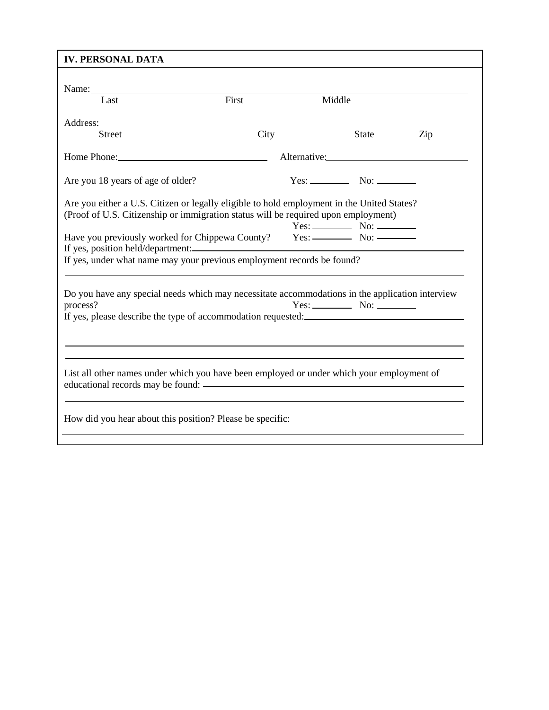| Middle<br><b>State</b><br>Alternative:                                                                                                                                           |  | $\overline{Zip}$                                                                                                                                               |  |  |  |  |  |
|----------------------------------------------------------------------------------------------------------------------------------------------------------------------------------|--|----------------------------------------------------------------------------------------------------------------------------------------------------------------|--|--|--|--|--|
|                                                                                                                                                                                  |  |                                                                                                                                                                |  |  |  |  |  |
|                                                                                                                                                                                  |  |                                                                                                                                                                |  |  |  |  |  |
|                                                                                                                                                                                  |  |                                                                                                                                                                |  |  |  |  |  |
|                                                                                                                                                                                  |  |                                                                                                                                                                |  |  |  |  |  |
|                                                                                                                                                                                  |  |                                                                                                                                                                |  |  |  |  |  |
|                                                                                                                                                                                  |  |                                                                                                                                                                |  |  |  |  |  |
| Are you either a U.S. Citizen or legally eligible to hold employment in the United States?<br>(Proof of U.S. Citizenship or immigration status will be required upon employment) |  |                                                                                                                                                                |  |  |  |  |  |
|                                                                                                                                                                                  |  |                                                                                                                                                                |  |  |  |  |  |
| If yes, under what name may your previous employment records be found?                                                                                                           |  |                                                                                                                                                                |  |  |  |  |  |
| Do you have any special needs which may necessitate accommodations in the application interview<br>process?<br>If yes, please describe the type of accommodation requested:      |  |                                                                                                                                                                |  |  |  |  |  |
|                                                                                                                                                                                  |  |                                                                                                                                                                |  |  |  |  |  |
|                                                                                                                                                                                  |  |                                                                                                                                                                |  |  |  |  |  |
|                                                                                                                                                                                  |  | $Yes:$ No: $\_\_\_\_\_\_\_\$<br>If yes, position held/department:<br>List all other names under which you have been employed or under which your employment of |  |  |  |  |  |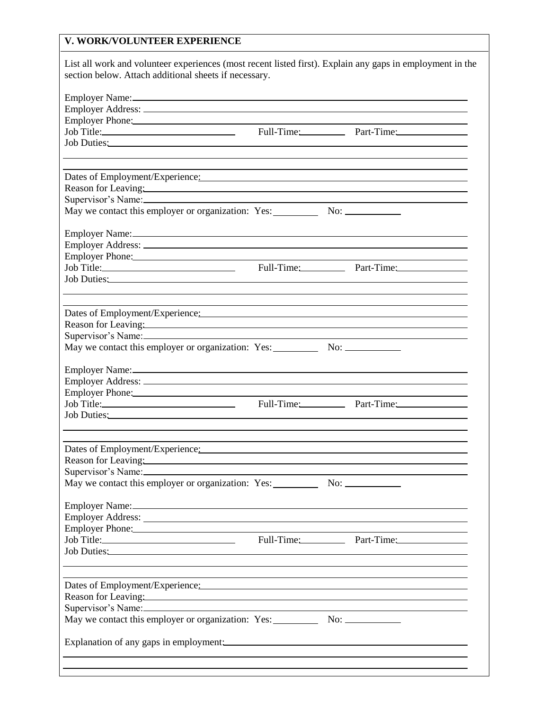## **V. WORK/VOLUNTEER EXPERIENCE**

| List all work and volunteer experiences (most recent listed first). Explain any gaps in employment in the                                                                                                                      |  |                                                                                  |
|--------------------------------------------------------------------------------------------------------------------------------------------------------------------------------------------------------------------------------|--|----------------------------------------------------------------------------------|
| section below. Attach additional sheets if necessary.                                                                                                                                                                          |  |                                                                                  |
|                                                                                                                                                                                                                                |  |                                                                                  |
| Employer Name: 2008 and 2008 and 2008 and 2008 and 2008 and 2008 and 2008 and 2008 and 2008 and 2008 and 2008                                                                                                                  |  |                                                                                  |
| Employer Phone: 2008 and 2008 and 2008 and 2008 and 2008 and 2008 and 2008 and 2008 and 2008 and 2008 and 2008                                                                                                                 |  |                                                                                  |
| Job Title: Part-Time: Part-Time: Part-Time:                                                                                                                                                                                    |  |                                                                                  |
| Job Duties: Notes and the set of the set of the set of the set of the set of the set of the set of the set of the set of the set of the set of the set of the set of the set of the set of the set of the set of the set of th |  |                                                                                  |
|                                                                                                                                                                                                                                |  |                                                                                  |
|                                                                                                                                                                                                                                |  |                                                                                  |
| Dates of Employment/Experience: Manual Manual Manual Manual Manual Manual Manual Manual Manual Manual Manual Ma                                                                                                                |  |                                                                                  |
| Reason for Leaving: 2008 and 2008 and 2008 and 2008 and 2008 and 2008 and 2008 and 2008 and 2008 and 2008 and 2008 and 2008 and 2008 and 2008 and 2008 and 2008 and 2008 and 2008 and 2008 and 2008 and 2008 and 2008 and 2008 |  |                                                                                  |
|                                                                                                                                                                                                                                |  |                                                                                  |
| May we contact this employer or organization: Yes:                                                                                                                                                                             |  |                                                                                  |
|                                                                                                                                                                                                                                |  |                                                                                  |
|                                                                                                                                                                                                                                |  |                                                                                  |
| Employer Phone: 2008 and 2008 and 2008 and 2008 and 2008 and 2008 and 2008 and 2008 and 2008 and 2008 and 2008                                                                                                                 |  |                                                                                  |
|                                                                                                                                                                                                                                |  |                                                                                  |
| Job Duties: No. 1996                                                                                                                                                                                                           |  |                                                                                  |
|                                                                                                                                                                                                                                |  | ,我们也不会有什么。""我们的人,我们也不会有什么?""我们的人,我们也不会有什么?""我们的人,我们也不会有什么?""我们的人,我们也不会有什么?""我们的人 |
| Dates of Employment/Experience: Manual Contract Contract Contract Contract Contract Contract Contract Contract Contract Contract Contract Contract Contract Contract Contract Contract Contract Contract Contract Contract Con |  |                                                                                  |
| Reason for Leaving: and the contract of the contract of the contract of the contract of the contract of the contract of the contract of the contract of the contract of the contract of the contract of the contract of the co |  |                                                                                  |
|                                                                                                                                                                                                                                |  |                                                                                  |
| May we contact this employer or organization: Yes: No: No: No: No:                                                                                                                                                             |  |                                                                                  |
|                                                                                                                                                                                                                                |  |                                                                                  |
| Employer Name:                                                                                                                                                                                                                 |  |                                                                                  |
|                                                                                                                                                                                                                                |  |                                                                                  |
| Employer Phone: 2008 and 2008 and 2008 and 2008 and 2008 and 2008 and 2008 and 2008 and 2008 and 2008 and 2008                                                                                                                 |  |                                                                                  |
| Job Title: <u>Contract Communication</u> Full-Time: Part-Time: Part-Time:                                                                                                                                                      |  |                                                                                  |
|                                                                                                                                                                                                                                |  |                                                                                  |
|                                                                                                                                                                                                                                |  |                                                                                  |
| Dates of Employment/Experience:                                                                                                                                                                                                |  |                                                                                  |
| Reason for Leaving: and the contract of the contract of the contract of the contract of the contract of the contract of the contract of the contract of the contract of the contract of the contract of the contract of the co |  |                                                                                  |
|                                                                                                                                                                                                                                |  |                                                                                  |
| May we contact this employer or organization: Yes: No: No: No:                                                                                                                                                                 |  |                                                                                  |
|                                                                                                                                                                                                                                |  |                                                                                  |
|                                                                                                                                                                                                                                |  |                                                                                  |
|                                                                                                                                                                                                                                |  |                                                                                  |
|                                                                                                                                                                                                                                |  |                                                                                  |
| Job Duties: Note of the Contract of the Contract of the Contract of the Contract of the Contract of the Contract of the Contract of the Contract of the Contract of the Contract of the Contract of the Contract of the Contra |  |                                                                                  |
|                                                                                                                                                                                                                                |  |                                                                                  |
|                                                                                                                                                                                                                                |  |                                                                                  |
|                                                                                                                                                                                                                                |  |                                                                                  |
| Reason for Leaving:                                                                                                                                                                                                            |  |                                                                                  |
|                                                                                                                                                                                                                                |  |                                                                                  |
|                                                                                                                                                                                                                                |  |                                                                                  |
|                                                                                                                                                                                                                                |  |                                                                                  |
|                                                                                                                                                                                                                                |  |                                                                                  |
|                                                                                                                                                                                                                                |  |                                                                                  |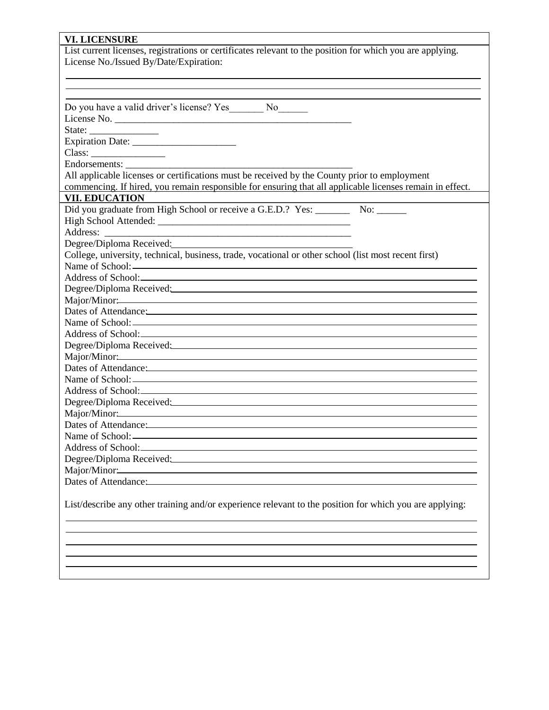# **VI. LICENSURE**

| List current licenses, registrations or certificates relevant to the position for which you are applying.                                                                                                                            |
|--------------------------------------------------------------------------------------------------------------------------------------------------------------------------------------------------------------------------------------|
| License No./Issued By/Date/Expiration:                                                                                                                                                                                               |
|                                                                                                                                                                                                                                      |
|                                                                                                                                                                                                                                      |
|                                                                                                                                                                                                                                      |
| Do you have a valid driver's license? Yes ________ No_______                                                                                                                                                                         |
|                                                                                                                                                                                                                                      |
|                                                                                                                                                                                                                                      |
|                                                                                                                                                                                                                                      |
| Class:                                                                                                                                                                                                                               |
| Endorsements:                                                                                                                                                                                                                        |
| All applicable licenses or certifications must be received by the County prior to employment                                                                                                                                         |
| commencing. If hired, you remain responsible for ensuring that all applicable licenses remain in effect.                                                                                                                             |
| <b>VII. EDUCATION</b>                                                                                                                                                                                                                |
| Did you graduate from High School or receive a G.E.D.? Yes: ___________ No: _______                                                                                                                                                  |
|                                                                                                                                                                                                                                      |
| Address:                                                                                                                                                                                                                             |
| Degree/Diploma Received:<br><u>Degree/Diploma Received:</u>                                                                                                                                                                          |
| College, university, technical, business, trade, vocational or other school (list most recent first)                                                                                                                                 |
|                                                                                                                                                                                                                                      |
|                                                                                                                                                                                                                                      |
| Degree/Diploma Received:                                                                                                                                                                                                             |
|                                                                                                                                                                                                                                      |
| Dates of Attendance: <u>and a series of the series of the series of the series of the series of the series of the series of the series of the series of the series of the series of the series of the series of the series of th</u> |
|                                                                                                                                                                                                                                      |
| Address of School: <u>Address</u> of School:                                                                                                                                                                                         |
| Degree/Diploma Received: 2010 10:00 10:00 10:00 10:00 10:00 10:00 10:00 10:00 10:00 10:00 10:00 10:00 10:00 10:00 10:00 10:00 10:00 10:00 10:00 10:00 10:00 10:00 10:00 10:00 10:00 10:00 10:00 10:00 10:00 10:00 10:00 10:00        |
|                                                                                                                                                                                                                                      |
| Dates of Attendance: <u>and the set of the set of the set of the set of the set of the set of the set of the set of the set of the set of the set of the set of the set of the set of the set of the set of the set of the set o</u> |
|                                                                                                                                                                                                                                      |
|                                                                                                                                                                                                                                      |
| Degree/Diploma Received: and the contract of the contract of the contract of the contract of the contract of the contract of the contract of the contract of the contract of the contract of the contract of the contract of t       |
| Major/Minor: 2008 and 2008 and 2008 and 2008 and 2008 and 2008 and 2008 and 2008 and 2008 and 2008 and 2008 and 2008 and 2008 and 2008 and 2008 and 2008 and 2008 and 2008 and 2008 and 2008 and 2008 and 2008 and 2008 and 20       |
| Dates of Attendance: Note and the set of the set of the set of the set of the set of the set of the set of the set of the set of the set of the set of the set of the set of the set of the set of the set of the set of the s       |
|                                                                                                                                                                                                                                      |
|                                                                                                                                                                                                                                      |
| Degree/Diploma Received: 2008 and 2008 and 2008 and 2008 and 2008 and 2008 and 2008 and 2008 and 2008 and 2008                                                                                                                       |
| Dates of Attendance: <u>and a series of the series of the series of the series of the series of the series of the series of the series of the series of the series of the series of the series of the series of the series of th</u> |
|                                                                                                                                                                                                                                      |
| List/describe any other training and/or experience relevant to the position for which you are applying:                                                                                                                              |
|                                                                                                                                                                                                                                      |
|                                                                                                                                                                                                                                      |
|                                                                                                                                                                                                                                      |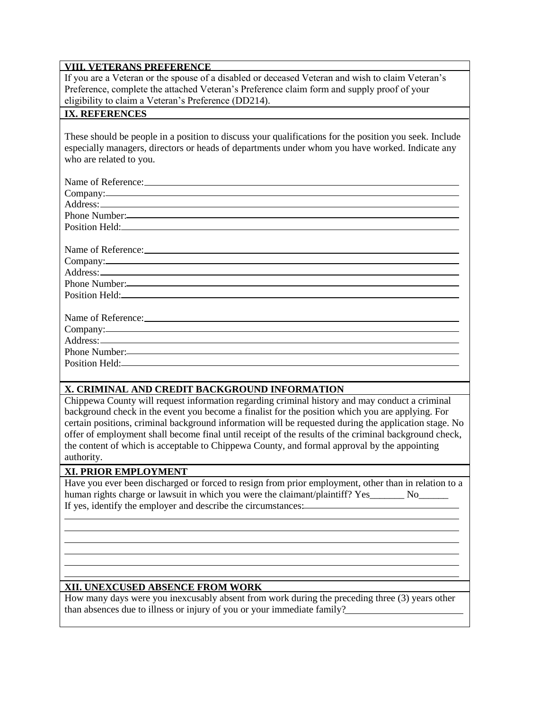#### **VIII. VETERANS PREFERENCE**

If you are a Veteran or the spouse of a disabled or deceased Veteran and wish to claim Veteran's Preference, complete the attached Veteran's Preference claim form and supply proof of your eligibility to claim a Veteran's Preference (DD214).

#### **IX. REFERENCES**

These should be people in a position to discuss your qualifications for the position you seek. Include especially managers, directors or heads of departments under whom you have worked. Indicate any who are related to you.

| Company:<br>Phone Number:<br>Position Held: New York Contract the Contract of the Contract of the Contract of the Contract of the Contract of the Contract of the Contract of the Contract of the Contract of the Contract of the Contract of the Contract |
|------------------------------------------------------------------------------------------------------------------------------------------------------------------------------------------------------------------------------------------------------------|
|                                                                                                                                                                                                                                                            |
|                                                                                                                                                                                                                                                            |
|                                                                                                                                                                                                                                                            |
|                                                                                                                                                                                                                                                            |
|                                                                                                                                                                                                                                                            |
|                                                                                                                                                                                                                                                            |
|                                                                                                                                                                                                                                                            |
|                                                                                                                                                                                                                                                            |
|                                                                                                                                                                                                                                                            |
|                                                                                                                                                                                                                                                            |
| Phone Number:                                                                                                                                                                                                                                              |
|                                                                                                                                                                                                                                                            |
|                                                                                                                                                                                                                                                            |

#### **X. CRIMINAL AND CREDIT BACKGROUND INFORMATION**

Chippewa County will request information regarding criminal history and may conduct a criminal background check in the event you become a finalist for the position which you are applying. For certain positions, criminal background information will be requested during the application stage. No offer of employment shall become final until receipt of the results of the criminal background check, the content of which is acceptable to Chippewa County, and formal approval by the appointing authority.

#### **XI. PRIOR EMPLOYMENT**

Have you ever been discharged or forced to resign from prior employment, other than in relation to a human rights charge or lawsuit in which you were the claimant/plaintiff? Yes No If yes, identify the employer and describe the circumstances:

#### **XII. UNEXCUSED ABSENCE FROM WORK**

How many days were you inexcusably absent from work during the preceding three (3) years other than absences due to illness or injury of you or your immediate family?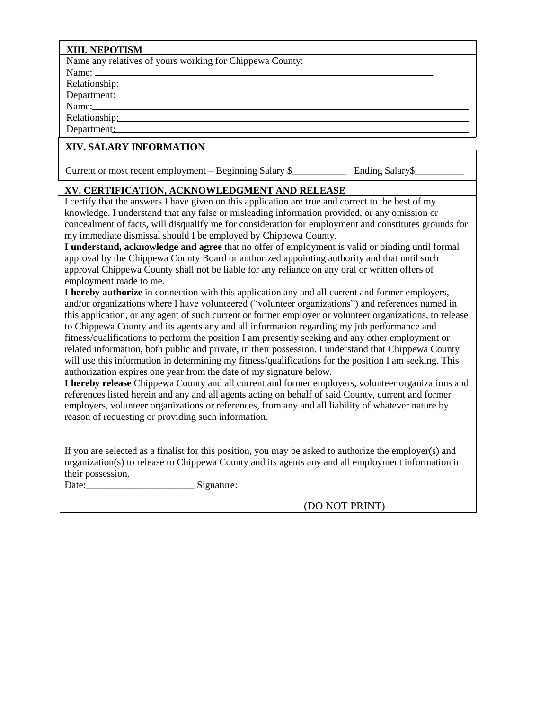#### **XIII. NEPOTISM**

Name any relatives of yours working for Chippewa County:

Name:

Relationship: Department:

Name:

Relationship:

Department:

#### **XIV. SALARY INFORMATION**

Current or most recent employment – Beginning Salary \$\_\_\_\_\_\_\_\_\_\_\_\_\_\_\_\_\_\_\_\_\_\_\_\_\_\_\_ Ending Salary \$\_\_\_\_\_\_\_\_\_\_\_\_\_

### **XV. CERTIFICATION, ACKNOWLEDGMENT AND RELEASE**

I certify that the answers I have given on this application are true and correct to the best of my knowledge. I understand that any false or misleading information provided, or any omission or concealment of facts, will disqualify me for consideration for employment and constitutes grounds for my immediate dismissal should I be employed by Chippewa County.

**I understand, acknowledge and agree** that no offer of employment is valid or binding until formal approval by the Chippewa County Board or authorized appointing authority and that until such approval Chippewa County shall not be liable for any reliance on any oral or written offers of employment made to me.

**I hereby authorize** in connection with this application any and all current and former employers, and/or organizations where I have volunteered ("volunteer organizations") and references named in this application, or any agent of such current or former employer or volunteer organizations, to release to Chippewa County and its agents any and all information regarding my job performance and fitness/qualifications to perform the position I am presently seeking and any other employment or related information, both public and private, in their possession. I understand that Chippewa County will use this information in determining my fitness/qualifications for the position I am seeking. This authorization expires one year from the date of my signature below.

**I hereby release** Chippewa County and all current and former employers, volunteer organizations and references listed herein and any and all agents acting on behalf of said County, current and former employers, volunteer organizations or references, from any and all liability of whatever nature by reason of requesting or providing such information.

If you are selected as a finalist for this position, you may be asked to authorize the employer(s) and organization(s) to release to Chippewa County and its agents any and all employment information in their possession.

Date:\_\_\_\_\_\_\_\_\_\_\_\_\_\_\_\_\_\_\_\_\_\_ Signature:

(DO NOT PRINT)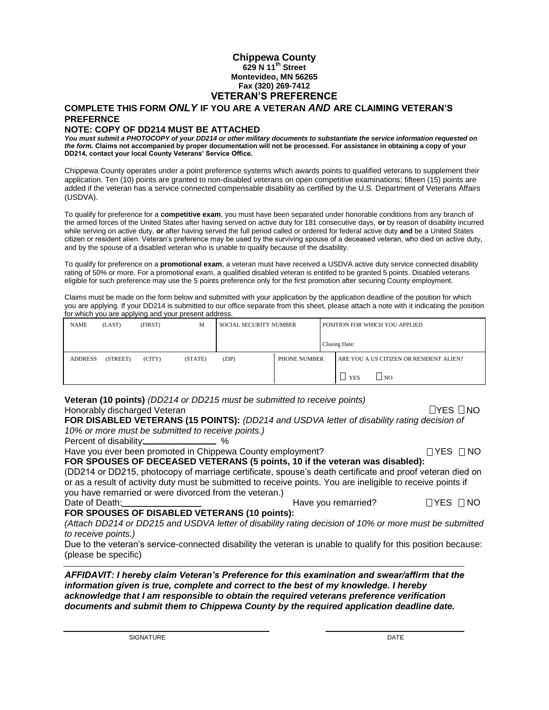#### **Chippewa County 629 N 11th Street Montevideo, MN 56265 Fax (320) 269-7412 VETERAN'S PREFERENCE**

#### **COMPLETE THIS FORM** *ONLY* **IF YOU ARE A VETERAN** *AND* **ARE CLAIMING VETERAN'S PREFERNCE**

#### **NOTE: COPY OF DD214 MUST BE ATTACHED**

*You must submit a PHOTOCOPY of your DD214 or other military documents to substantiate the service information requested on the form.* **Claims not accompanied by proper documentation will not be processed. For assistance in obtaining a copy of your DD214, contact your local County Veterans' Service Office.** 

Chippewa County operates under a point preference systems which awards points to qualified veterans to supplement their application. Ten (10) points are granted to non-disabled veterans on open competitive examinations; fifteen (15) points are added if the veteran has a service connected compensable disability as certified by the U.S. Department of Veterans Affairs (USDVA).

To qualify for preference for a **competitive exam**, you must have been separated under honorable conditions from any branch of the armed forces of the United States after having served on active duty for 181 consecutive days, **or** by reason of disability incurred while serving on active duty, **or** after having served the full period called or ordered for federal active duty **and** be a United States citizen or resident alien. Veteran's preference may be used by the surviving spouse of a deceased veteran, who died on active duty, and by the spouse of a disabled veteran who is unable to qualify because of the disability.

To qualify for preference on a **promotional exam**, a veteran must have received a USDVA active duty service connected disability rating of 50% or more. For a promotional exam, a qualified disabled veteran is entitled to be granted 5 points. Disabled veterans eligible for such preference may use the 5 points preference only for the first promotion after securing County employment.

Claims must be made on the form below and submitted with your application by the application deadline of the position for which you are applying. If your DD214 is submitted to our office separate from this sheet, please attach a note with it indicating the position for which you are applying and your present address.

| <b>NAME</b>    | (LAST)   | (FIRST) | М       | SOCIAL SECURITY NUMBER |              | <b>POSITION FOR WHICH YOU APPLIED</b>   |
|----------------|----------|---------|---------|------------------------|--------------|-----------------------------------------|
|                |          |         |         |                        |              | Closing Date:                           |
| <b>ADDRESS</b> | (STREET) | (CITY)  | (STATE) | (ZIP)                  | PHONE NUMBER | ARE YOU A US CITIZEN OR RESIDENT ALIEN? |
|                |          |         |         |                        |              | <b>YES</b><br>NO <sub>1</sub>           |

**Veteran (10 points)** *(DD214 or DD215 must be submitted to receive points)* Honorably discharged Veteran…… ……………………………………………………………… YES NO

**FOR DISABLED VETERANS (15 POINTS):** *(DD214 and USDVA letter of disability rating decision of 10% or more must be submitted to receive points.)* 

Percent of disability:<br>
8%

Have you ever been promoted in Chippewa County employment?  $\Box$  YES  $\Box$  YES  $\Box$  NO **FOR SPOUSES OF DECEASED VETERANS (5 points, 10 if the veteran was disabled):**  (DD214 or DD215, photocopy of marriage certificate, spouse's death certificate and proof veteran died on or as a result of activity duty must be submitted to receive points. You are ineligible to receive points if

you have remarried or were divorced from the veteran.) Date of Death: Have you remarried?………… …. YES NO

**FOR SPOUSES OF DISABLED VETERANS (10 points):** 

*(Attach DD214 or DD215 and USDVA letter of disability rating decision of 10% or more must be submitted to receive points.)* 

Due to the veteran's service-connected disability the veteran is unable to qualify for this position because: (please be specific)

*AFFIDAVIT: I hereby claim Veteran's Preference for this examination and swear/affirm that the information given is true, complete and correct to the best of my knowledge. I hereby acknowledge that I am responsible to obtain the required veterans preference verification documents and submit them to Chippewa County by the required application deadline date.*